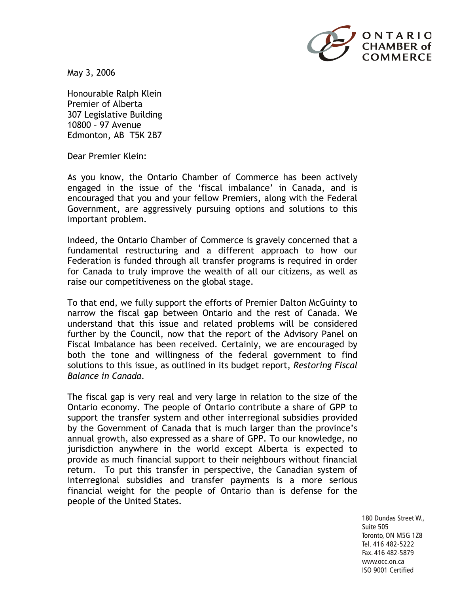

May 3, 2006

Honourable Ralph Klein Premier of Alberta 307 Legislative Building 10800 – 97 Avenue Edmonton, AB T5K 2B7

Dear Premier Klein:

As you know, the Ontario Chamber of Commerce has been actively engaged in the issue of the 'fiscal imbalance' in Canada, and is encouraged that you and your fellow Premiers, along with the Federal Government, are aggressively pursuing options and solutions to this important problem.

Indeed, the Ontario Chamber of Commerce is gravely concerned that a fundamental restructuring and a different approach to how our Federation is funded through all transfer programs is required in order for Canada to truly improve the wealth of all our citizens, as well as raise our competitiveness on the global stage.

To that end, we fully support the efforts of Premier Dalton McGuinty to narrow the fiscal gap between Ontario and the rest of Canada. We understand that this issue and related problems will be considered further by the Council, now that the report of the Advisory Panel on Fiscal Imbalance has been received. Certainly, we are encouraged by both the tone and willingness of the federal government to find solutions to this issue, as outlined in its budget report, *Restoring Fiscal Balance in Canada*.

The fiscal gap is very real and very large in relation to the size of the Ontario economy. The people of Ontario contribute a share of GPP to support the transfer system and other interregional subsidies provided by the Government of Canada that is much larger than the province's annual growth, also expressed as a share of GPP. To our knowledge, no jurisdiction anywhere in the world except Alberta is expected to provide as much financial support to their neighbours without financial return. To put this transfer in perspective, the Canadian system of interregional subsidies and transfer payments is a more serious financial weight for the people of Ontario than is defense for the people of the United States.

> 180 Dundas Street W., Suite 505 Toronto, ON M5G 1Z8 Tel. 416 482-5222 Fax. 416 482-5879 www.occ.on.ca ISO 9001 Certified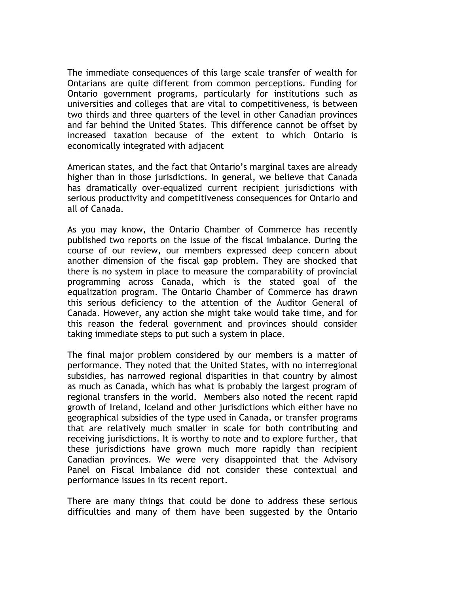The immediate consequences of this large scale transfer of wealth for Ontarians are quite different from common perceptions. Funding for Ontario government programs, particularly for institutions such as universities and colleges that are vital to competitiveness, is between two thirds and three quarters of the level in other Canadian provinces and far behind the United States. This difference cannot be offset by increased taxation because of the extent to which Ontario is economically integrated with adjacent

American states, and the fact that Ontario's marginal taxes are already higher than in those jurisdictions. In general, we believe that Canada has dramatically over-equalized current recipient jurisdictions with serious productivity and competitiveness consequences for Ontario and all of Canada.

As you may know, the Ontario Chamber of Commerce has recently published two reports on the issue of the fiscal imbalance. During the course of our review, our members expressed deep concern about another dimension of the fiscal gap problem. They are shocked that there is no system in place to measure the comparability of provincial programming across Canada, which is the stated goal of the equalization program. The Ontario Chamber of Commerce has drawn this serious deficiency to the attention of the Auditor General of Canada. However, any action she might take would take time, and for this reason the federal government and provinces should consider taking immediate steps to put such a system in place.

The final major problem considered by our members is a matter of performance. They noted that the United States, with no interregional subsidies, has narrowed regional disparities in that country by almost as much as Canada, which has what is probably the largest program of regional transfers in the world. Members also noted the recent rapid growth of Ireland, Iceland and other jurisdictions which either have no geographical subsidies of the type used in Canada, or transfer programs that are relatively much smaller in scale for both contributing and receiving jurisdictions. It is worthy to note and to explore further, that these jurisdictions have grown much more rapidly than recipient Canadian provinces. We were very disappointed that the Advisory Panel on Fiscal Imbalance did not consider these contextual and performance issues in its recent report.

There are many things that could be done to address these serious difficulties and many of them have been suggested by the Ontario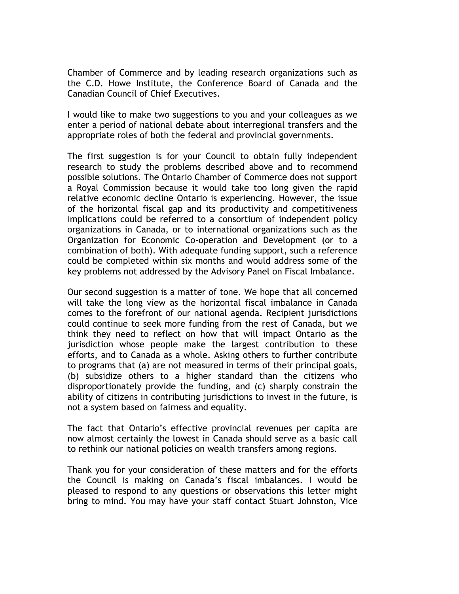Chamber of Commerce and by leading research organizations such as the C.D. Howe Institute, the Conference Board of Canada and the Canadian Council of Chief Executives.

I would like to make two suggestions to you and your colleagues as we enter a period of national debate about interregional transfers and the appropriate roles of both the federal and provincial governments.

The first suggestion is for your Council to obtain fully independent research to study the problems described above and to recommend possible solutions. The Ontario Chamber of Commerce does not support a Royal Commission because it would take too long given the rapid relative economic decline Ontario is experiencing. However, the issue of the horizontal fiscal gap and its productivity and competitiveness implications could be referred to a consortium of independent policy organizations in Canada, or to international organizations such as the Organization for Economic Co-operation and Development (or to a combination of both). With adequate funding support, such a reference could be completed within six months and would address some of the key problems not addressed by the Advisory Panel on Fiscal Imbalance.

Our second suggestion is a matter of tone. We hope that all concerned will take the long view as the horizontal fiscal imbalance in Canada comes to the forefront of our national agenda. Recipient jurisdictions could continue to seek more funding from the rest of Canada, but we think they need to reflect on how that will impact Ontario as the jurisdiction whose people make the largest contribution to these efforts, and to Canada as a whole. Asking others to further contribute to programs that (a) are not measured in terms of their principal goals, (b) subsidize others to a higher standard than the citizens who disproportionately provide the funding, and (c) sharply constrain the ability of citizens in contributing jurisdictions to invest in the future, is not a system based on fairness and equality.

The fact that Ontario's effective provincial revenues per capita are now almost certainly the lowest in Canada should serve as a basic call to rethink our national policies on wealth transfers among regions.

Thank you for your consideration of these matters and for the efforts the Council is making on Canada's fiscal imbalances. I would be pleased to respond to any questions or observations this letter might bring to mind. You may have your staff contact Stuart Johnston, Vice